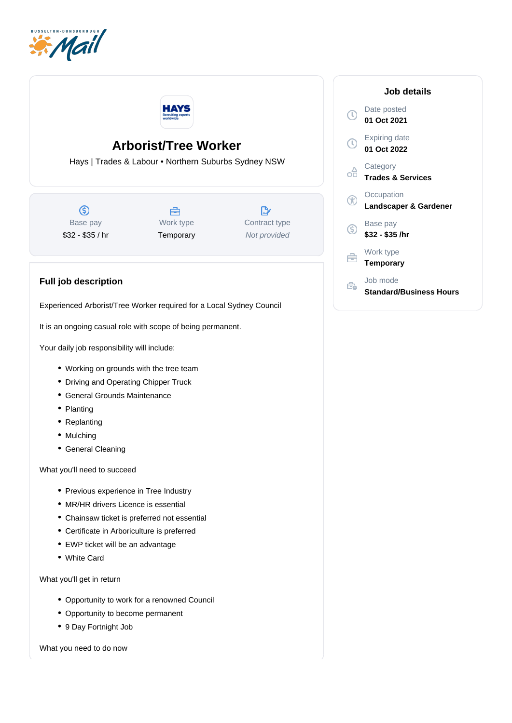



## **Arborist/Tree Worker**

Hays | Trades & Labour • Northern Suburbs Sydney NSW

ெ Base pay \$32 - \$35 / hr



 $\mathbb{R}$ Contract type Not provided

## **Full job description**

Experienced Arborist/Tree Worker required for a Local Sydney Council

It is an ongoing casual role with scope of being permanent.

Your daily job responsibility will include:

- Working on grounds with the tree team
- Driving and Operating Chipper Truck
- General Grounds Maintenance
- Planting
- Replanting
- Mulching
- General Cleaning

What you'll need to succeed

- Previous experience in Tree Industry
- MR/HR drivers Licence is essential
- Chainsaw ticket is preferred not essential
- Certificate in Arboriculture is preferred
- EWP ticket will be an advantage
- White Card

What you'll get in return

- Opportunity to work for a renowned Council
- Opportunity to become permanent
- 9 Day Fortnight Job

What you need to do now

## **Job details** Date posted  $\mathbb{O}$ **01 Oct 2021** Expiring date  $\circledR$ **01 Oct 2022 Category** oa **Trades & Services Occupation** GO **Landscaper & Gardener** Base pay (S) **\$32 - \$35 /hr** Work type 户 **Temporary** Job mode Ê. **Standard/Business Hours**